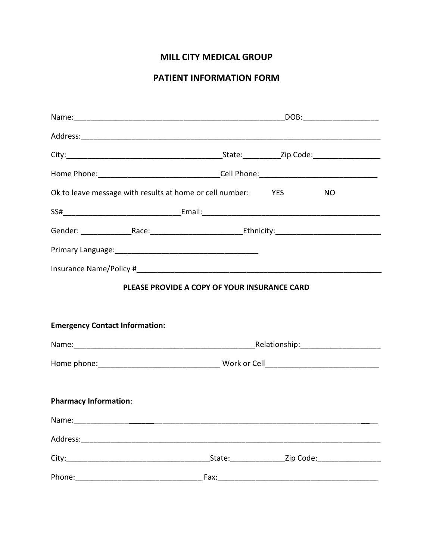## **MILL CITY MEDICAL GROUP**

## PATIENT INFORMATION FORM

|                                       | Ok to leave message with results at home or cell number: YES                                                                                                                                                                  | NO.                               |  |
|---------------------------------------|-------------------------------------------------------------------------------------------------------------------------------------------------------------------------------------------------------------------------------|-----------------------------------|--|
|                                       |                                                                                                                                                                                                                               |                                   |  |
|                                       | Gender: __________________Race: _______________________________Ethnicity: _______________________________                                                                                                                     |                                   |  |
|                                       |                                                                                                                                                                                                                               |                                   |  |
|                                       |                                                                                                                                                                                                                               |                                   |  |
|                                       | PLEASE PROVIDE A COPY OF YOUR INSURANCE CARD                                                                                                                                                                                  |                                   |  |
|                                       |                                                                                                                                                                                                                               |                                   |  |
| <b>Emergency Contact Information:</b> |                                                                                                                                                                                                                               |                                   |  |
|                                       | Name: Name: Name: Name: Name: Name: Name: Name: Name: Name: Name: Name: Name: Name: Name: Name: Name: Name: Name: Name: Name: Name: Name: Name: Name: Name: Name: Name: Name: Name: Name: Name: Name: Name: Name: Name: Name: |                                   |  |
|                                       |                                                                                                                                                                                                                               |                                   |  |
|                                       |                                                                                                                                                                                                                               |                                   |  |
| <b>Pharmacy Information:</b>          |                                                                                                                                                                                                                               |                                   |  |
|                                       |                                                                                                                                                                                                                               |                                   |  |
|                                       |                                                                                                                                                                                                                               |                                   |  |
|                                       |                                                                                                                                                                                                                               | State: <u>Zip Code:</u> Zip Code: |  |
|                                       |                                                                                                                                                                                                                               |                                   |  |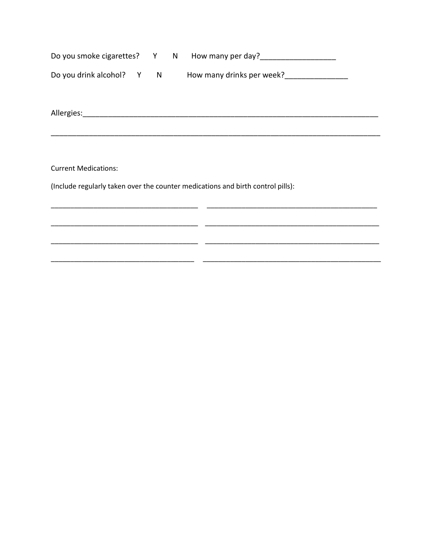|                             |  |  |  | Do you smoke cigarettes? Y N How many per day?                                  |
|-----------------------------|--|--|--|---------------------------------------------------------------------------------|
| Do you drink alcohol? Y N   |  |  |  | How many drinks per week?<br>Many drinks per week?                              |
|                             |  |  |  |                                                                                 |
|                             |  |  |  |                                                                                 |
| <b>Current Medications:</b> |  |  |  |                                                                                 |
|                             |  |  |  | (Include regularly taken over the counter medications and birth control pills): |
|                             |  |  |  |                                                                                 |
|                             |  |  |  |                                                                                 |

 $\sim$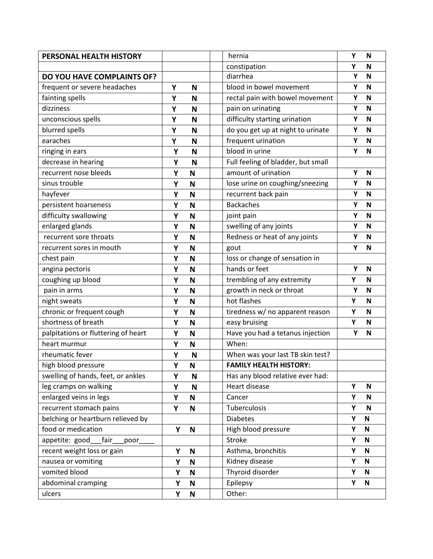| PERSONAL HEALTH HISTORY             |   |             | hernia                             | Υ | N            |
|-------------------------------------|---|-------------|------------------------------------|---|--------------|
|                                     |   |             | constipation                       | Υ | N            |
| <b>DO YOU HAVE COMPLAINTS OF?</b>   |   |             | diarrhea                           | Υ | N            |
| frequent or severe headaches        | Υ | N           | blood in bowel movement            | Υ | N            |
| fainting spells                     | Υ | N           | rectal pain with bowel movement    | Υ | N            |
| dizziness                           | Υ | N           | pain on urinating                  | Y | N            |
| unconscious spells                  | Υ | N           | difficulty starting urination      | Υ | N            |
| blurred spells                      | Y | N           | do you get up at night to urinate  | Y | N            |
| earaches                            | Υ | N           | frequent urination                 | Υ | N            |
| ringing in ears                     | Υ | N           | blood in urine                     | Υ | N            |
| decrease in hearing                 | Υ | N           | Full feeling of bladder, but small |   |              |
| recurrent nose bleeds               | Υ | N           | amount of urination                | Υ | N            |
| sinus trouble                       | Υ | N           | lose urine on coughing/sneezing    | Υ | N            |
| hayfever                            | Υ | N           | recurrent back pain                | Υ | $\mathbf N$  |
| persistent hoarseness               | Υ | N           | <b>Backaches</b>                   | Υ | N            |
| difficulty swallowing               | Υ | N           | joint pain                         | Υ | N            |
| enlarged glands                     | Υ | N           | swelling of any joints             | Υ | N            |
| recurrent sore throats              | Υ | N           | Redness or heat of any joints      | Υ | N            |
| recurrent sores in mouth            | Υ | N           | gout                               | Υ | N            |
| chest pain                          | Υ | Ν           | loss or change of sensation in     |   |              |
| angina pectoris                     | Υ | N           | hands or feet                      | Υ | $\mathbf N$  |
| coughing up blood                   | Υ | N           | trembling of any extremity         | Υ | N            |
| pain in arms                        | Υ | N           | growth in neck or throat           | Y | $\mathsf N$  |
| night sweats                        | Υ | N           | hot flashes                        | Υ | N            |
| chronic or frequent cough           | Υ | N           | tiredness w/ no apparent reason    | Υ | N            |
| shortness of breath                 | Υ | N           | easy bruising                      | Υ | N            |
| palpitations or fluttering of heart | Y | N           | Have you had a tetanus injection   | Y | N            |
| heart murmur                        | Υ | N           | When:                              |   |              |
| rheumatic fever                     | Υ | N           | When was your last TB skin test?   |   |              |
| high blood pressure                 | Υ | N           | <b>FAMILY HEALTH HISTORY:</b>      |   |              |
| swelling of hands, feet, or ankles  | Υ | N           | Has any blood relative ever had:   |   |              |
| leg cramps on walking               | Υ | N           | Heart disease                      | Υ | N            |
| enlarged veins in legs              | Υ | N           | Cancer                             | Υ | $\mathsf N$  |
| recurrent stomach pains             | Υ | N           | Tuberculosis                       | Υ | N            |
| belching or heartburn relieved by   |   |             | <b>Diabetes</b>                    | Υ | $\mathsf{N}$ |
| food or medication                  | Υ | $\mathsf N$ | High blood pressure                | Υ | $\mathsf N$  |
| appetite: good<br>fair<br>poor      |   |             | Stroke                             | Υ | $\mathbf N$  |
| recent weight loss or gain          | Υ | $\mathsf N$ | Asthma, bronchitis                 | Υ | $\mathbf N$  |
| nausea or vomiting                  | Υ | N           | Kidney disease                     | Υ | $\mathbf N$  |
| vomited blood                       | Υ | N           | Thyroid disorder                   | Υ | N            |
| abdominal cramping                  | Υ | N           | Epilepsy                           | Υ | ${\bf N}$    |
| ulcers                              | Υ | N           | Other:                             |   |              |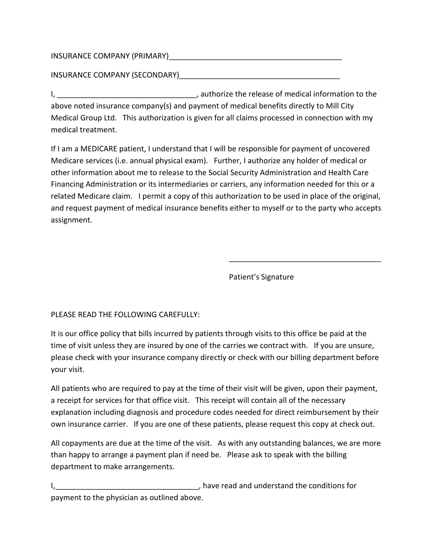## INSURANCE COMPANY (PRIMARY)\_\_\_\_\_\_\_\_\_\_\_\_\_\_\_\_\_\_\_\_\_\_\_\_\_\_\_\_\_\_\_\_\_\_\_\_\_\_\_\_\_

INSURANCE COMPANY (SECONDARY)

I, the release of medical information to the release of medical information to the above noted insurance company(s) and payment of medical benefits directly to Mill City Medical Group Ltd. This authorization is given for all claims processed in connection with my medical treatment.

If I am a MEDICARE patient, I understand that I will be responsible for payment of uncovered Medicare services (i.e. annual physical exam). Further, I authorize any holder of medical or other information about me to release to the Social Security Administration and Health Care Financing Administration or its intermediaries or carriers, any information needed for this or a related Medicare claim. I permit a copy of this authorization to be used in place of the original, and request payment of medical insurance benefits either to myself or to the party who accepts assignment.

Patient's Signature

\_\_\_\_\_\_\_\_\_\_\_\_\_\_\_\_\_\_\_\_\_\_\_\_\_\_\_\_\_\_\_\_\_\_\_\_

PLEASE READ THE FOLLOWING CAREFULLY:

It is our office policy that bills incurred by patients through visits to this office be paid at the time of visit unless they are insured by one of the carries we contract with. If you are unsure, please check with your insurance company directly or check with our billing department before your visit.

All patients who are required to pay at the time of their visit will be given, upon their payment, a receipt for services for that office visit. This receipt will contain all of the necessary explanation including diagnosis and procedure codes needed for direct reimbursement by their own insurance carrier. If you are one of these patients, please request this copy at check out.

All copayments are due at the time of the visit. As with any outstanding balances, we are more than happy to arrange a payment plan if need be. Please ask to speak with the billing department to make arrangements.

I, the state of the conditions for the conditions for the conditions for the conditions for payment to the physician as outlined above.